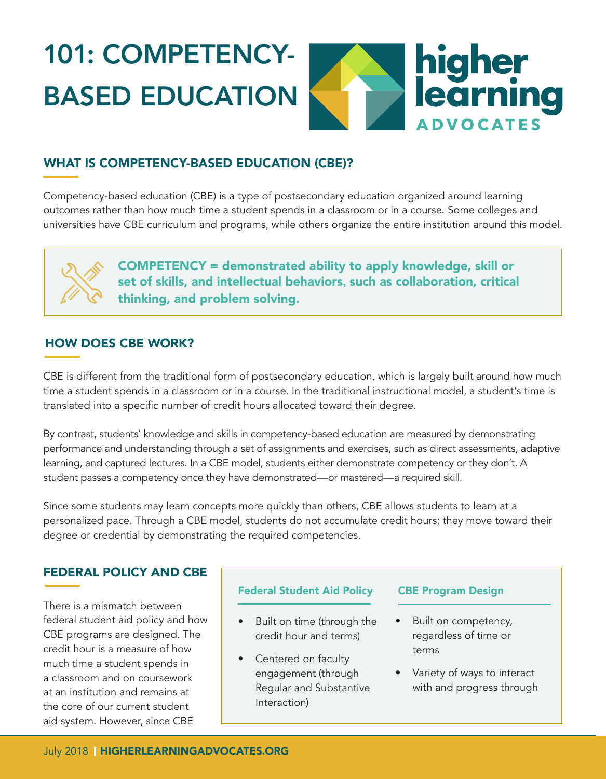# 101: COMPETENCY-BASED EDUCATION



# WHAT IS COMPETENCY-BASED EDUCATION (CBE)?

Competency-based education (CBE) is a type of postsecondary education organized around learning outcomes rather than how much time a student spends in a classroom or in a course. Some colleges and universities have CBE curriculum and programs, while others organize the entire institution around this model.

# COMPETENCY = demonstrated ability to apply knowledge, skill or set of skills, and intellectual behaviors**,** such as collaboration, critical thinking, and problem solving.

# HOW DOES CBE WORK?

CBE is different from the traditional form of postsecondary education, which is largely built around how much time a student spends in a classroom or in a course. In the traditional instructional model, a student's time is translated into a specific number of credit hours allocated toward their degree.

By contrast, students' knowledge and skills in competency-based education are measured by demonstrating performance and understanding through a set of assignments and exercises, such as direct assessments, adaptive learning, and captured lectures. In a CBE model, students either demonstrate competency or they don't. A student passes a competency once they have demonstrated—or mastered—a required skill.

Since some students may learn concepts more quickly than others, CBE allows students to learn at a personalized pace. Through a CBE model, students do not accumulate credit hours; they move toward their degree or credential by demonstrating the required competencies.

# FEDERAL POLICY AND CBE

There is a mismatch between federal student aid policy and how CBE programs are designed. The credit hour is a measure of how much time a student spends in a classroom and on coursework at an institution and remains at the core of our current student aid system. However, since CBE

## Federal Student Aid Policy CBE Program Design

- Built on time (through the credit hour and terms)
- Centered on faculty engagement (through Regular and Substantive Interaction)

- Built on competency, regardless of time or terms
- Variety of ways to interact with and progress through